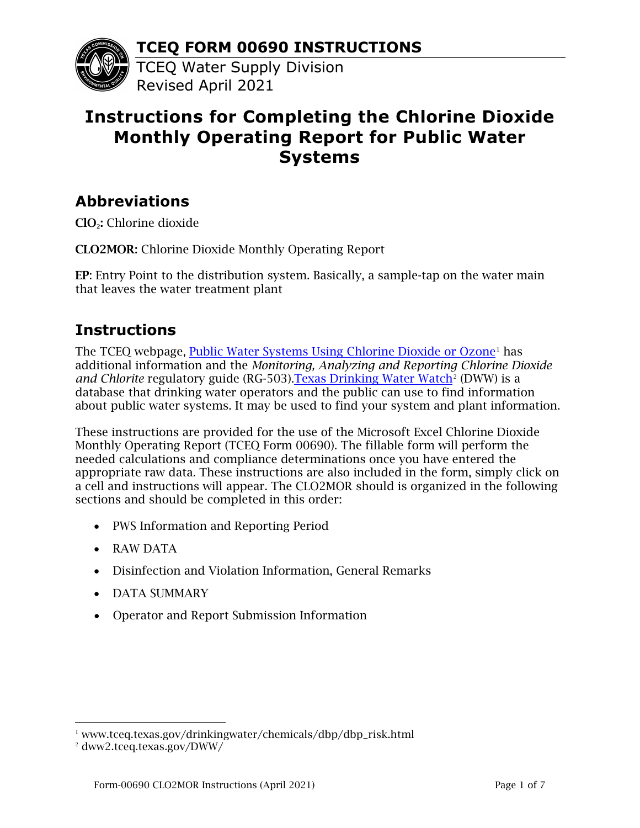**TCEQ FORM 00690 INSTRUCTIONS**



TCEQ Water Supply Division Revised April 2021

# **Instructions for Completing the Chlorine Dioxide Monthly Operating Report for Public Water Systems**

# **Abbreviations**

ClO2: Chlorine dioxide

CLO2MOR: Chlorine Dioxide Monthly Operating Report

EP: Entry Point to the distribution system. Basically, a sample-tap on the water main that leaves the water treatment plant

# **Instructions**

The TCEQ webpage, [Public Water Systems Using Chlorine Dioxide or Ozone](https://www.tceq.texas.gov/drinkingwater/chemicals/dbp/dbp_risk.html)<sup>[1](#page-0-0)</sup> has additional information and the *Monitoring, Analyzing and Reporting Chlorine Dioxide and Chlorite* regulatory guide (RG-503). Texas Drinking Water Watch<sup>[2](#page-0-1)</sup> (DWW) is a database that drinking water operators and the public can use to find information about public water systems. It may be used to find your system and plant information.

These instructions are provided for the use of the Microsoft Excel Chlorine Dioxide Monthly Operating Report (TCEQ Form 00690). The fillable form will perform the needed calculations and compliance determinations once you have entered the appropriate raw data. These instructions are also included in the form, simply click on a cell and instructions will appear. The CLO2MOR should is organized in the following sections and should be completed in this order:

- PWS Information and Reporting Period
- RAW DATA
- Disinfection and Violation Information, General Remarks
- DATA SUMMARY
- Operator and Report Submission Information

<span id="page-0-0"></span><sup>&</sup>lt;sup>1</sup> www.tceq.texas.gov/drinkingwater/chemicals/dbp/dbp\_risk.html

<span id="page-0-1"></span><sup>2</sup> dww2.tceq.texas.gov/DWW/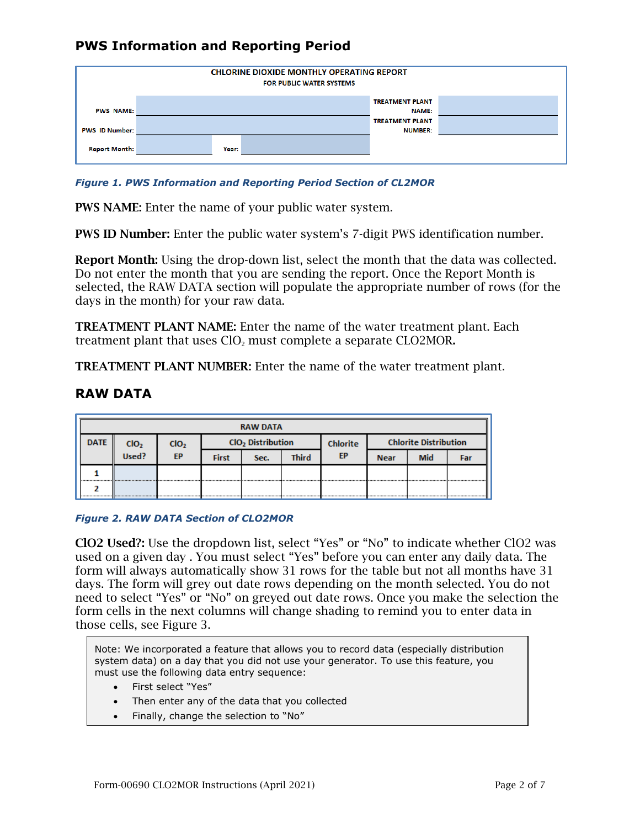

## **PWS Information and Reporting Period**

*Figure 1. PWS Information and Reporting Period Section of CL2MOR*

PWS NAME: Enter the name of your public water system.

PWS ID Number: Enter the public water system's 7-digit PWS identification number.

Report Month: Using the drop-down list, select the month that the data was collected. Do not enter the month that you are sending the report. Once the Report Month is selected, the RAW DATA section will populate the appropriate number of rows (for the days in the month) for your raw data.

TREATMENT PLANT NAME: Enter the name of the water treatment plant. Each treatment plant that uses  $CIO<sub>2</sub>$  must complete a separate  $CIO<sub>2</sub>MOR$ .

TREATMENT PLANT NUMBER: Enter the name of the water treatment plant.

### **RAW DATA**

| <b>RAW DATA</b> |                  |                  |                                      |  |  |          |                              |            |     |
|-----------------|------------------|------------------|--------------------------------------|--|--|----------|------------------------------|------------|-----|
| <b>DATE</b>     | CIO <sub>2</sub> | cio <sub>2</sub> | CIO <sub>2</sub> Distribution        |  |  | Chlorite | <b>Chlorite Distribution</b> |            |     |
|                 | Used?            | <b>EP</b>        | <b>Third</b><br><b>First</b><br>Sec. |  |  | EP       | <b>Near</b>                  | <b>Mid</b> | Far |
|                 |                  |                  |                                      |  |  |          |                              |            |     |
|                 |                  |                  |                                      |  |  |          |                              |            |     |

#### *Figure 2. RAW DATA Section of CLO2MOR*

ClO2 Used?: Use the dropdown list, select "Yes" or "No" to indicate whether ClO2 was used on a given day . You must select "Yes" before you can enter any daily data. The form will always automatically show 31 rows for the table but not all months have 31 days. The form will grey out date rows depending on the month selected. You do not need to select "Yes" or "No" on greyed out date rows. Once you make the selection the form cells in the next columns will change shading to remind you to enter data in those cells, see Figure 3.

Note: We incorporated a feature that allows you to record data (especially distribution system data) on a day that you did not use your generator. To use this feature, you must use the following data entry sequence:

- First select "Yes"
- Then enter any of the data that you collected
- Finally, change the selection to "No"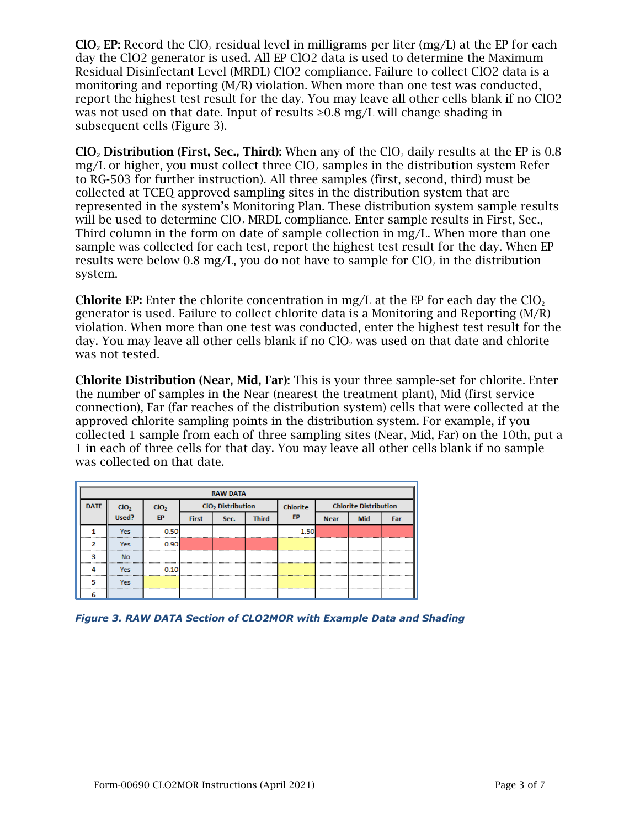ClO<sub>2</sub> EP: Record the ClO<sub>2</sub> residual level in milligrams per liter (mg/L) at the EP for each day the ClO2 generator is used. All EP ClO2 data is used to determine the Maximum Residual Disinfectant Level (MRDL) ClO2 compliance. Failure to collect ClO2 data is a monitoring and reporting (M/R) violation. When more than one test was conducted, report the highest test result for the day. You may leave all other cells blank if no ClO2 was not used on that date. Input of results  $\geq 0.8$  mg/L will change shading in subsequent cells (Figure 3).

ClO<sub>2</sub> Distribution (First, Sec., Third): When any of the ClO<sub>2</sub> daily results at the EP is  $0.8$ mg/L or higher, you must collect three  $ClO<sub>2</sub>$  samples in the distribution system Refer to RG-503 for further instruction). All three samples (first, second, third) must be collected at TCEQ approved sampling sites in the distribution system that are represented in the system's Monitoring Plan. These distribution system sample results will be used to determine ClO<sub>2</sub> MRDL compliance. Enter sample results in First, Sec., Third column in the form on date of sample collection in mg/L. When more than one sample was collected for each test, report the highest test result for the day. When EP results were below 0.8 mg/L, you do not have to sample for  $ClO<sub>2</sub>$  in the distribution system.

**Chlorite EP:** Enter the chlorite concentration in mg/L at the EP for each day the ClO<sub>2</sub> generator is used. Failure to collect chlorite data is a Monitoring and Reporting (M/R) violation. When more than one test was conducted, enter the highest test result for the day. You may leave all other cells blank if no  $ClO<sub>2</sub>$  was used on that date and chlorite was not tested.

Chlorite Distribution (Near, Mid, Far): This is your three sample-set for chlorite. Enter the number of samples in the Near (nearest the treatment plant), Mid (first service connection), Far (far reaches of the distribution system) cells that were collected at the approved chlorite sampling points in the distribution system. For example, if you collected 1 sample from each of three sampling sites (Near, Mid, Far) on the 10th, put a 1 in each of three cells for that day. You may leave all other cells blank if no sample was collected on that date.

| <b>RAW DATA</b> |                  |                                            |                               |  |           |                 |                              |     |  |
|-----------------|------------------|--------------------------------------------|-------------------------------|--|-----------|-----------------|------------------------------|-----|--|
| <b>DATE</b>     | ClO <sub>2</sub> |                                            | CIO <sub>2</sub> Distribution |  |           | <b>Chlorite</b> | <b>Chlorite Distribution</b> |     |  |
|                 | $CIO2$<br>Used?  | EP<br><b>Third</b><br><b>First</b><br>Sec. |                               |  | <b>FP</b> | <b>Near</b>     | <b>Mid</b>                   | Far |  |
|                 | <b>Yes</b><br>   | 0 50<br>                                   |                               |  |           | 150<br>         |                              |     |  |
|                 | Yes<br>          | 0.90<br>                                   |                               |  |           |                 |                              |     |  |
|                 | <b>No</b>        |                                            |                               |  |           |                 |                              |     |  |
|                 | <br><b>Yes</b>   |                                            |                               |  |           |                 |                              |     |  |
|                 | <br>Yes          |                                            |                               |  |           |                 |                              |     |  |
|                 |                  |                                            |                               |  |           |                 |                              |     |  |

*Figure 3. RAW DATA Section of CLO2MOR with Example Data and Shading*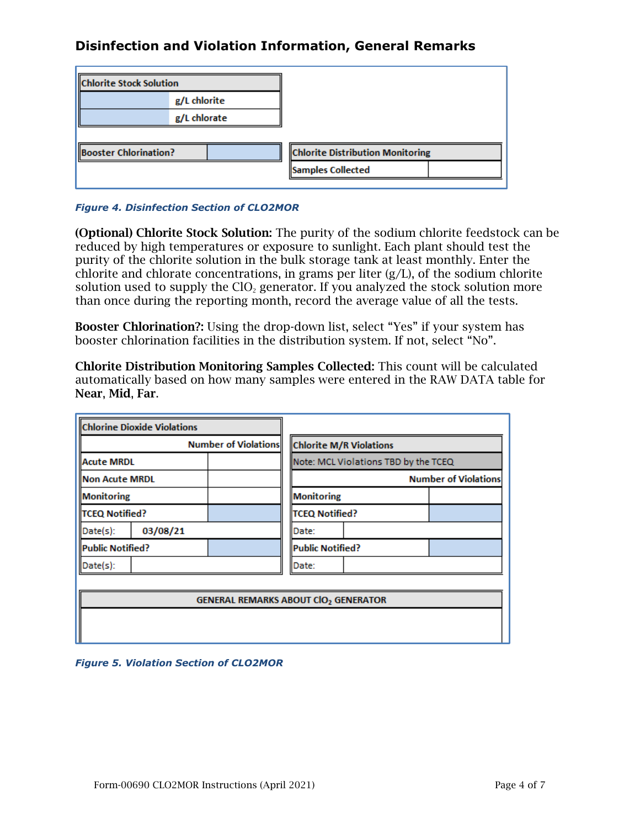## **Disinfection and Violation Information, General Remarks**

| <b>Chlorite Stock Solution</b> |  |  |                                         |  |
|--------------------------------|--|--|-----------------------------------------|--|
| g/L chlorite                   |  |  |                                         |  |
| g/L chlorate                   |  |  |                                         |  |
|                                |  |  |                                         |  |
| <b>Booster Chlorination?</b>   |  |  | <b>Chlorite Distribution Monitoring</b> |  |
|                                |  |  | Samples Collected                       |  |
|                                |  |  |                                         |  |

*Figure 4. Disinfection Section of CLO2MOR*

(Optional) Chlorite Stock Solution: The purity of the sodium chlorite feedstock can be reduced by high temperatures or exposure to sunlight. Each plant should test the purity of the chlorite solution in the bulk storage tank at least monthly. Enter the chlorite and chlorate concentrations, in grams per liter (g/L), of the sodium chlorite solution used to supply the  $ClO<sub>2</sub>$  generator. If you analyzed the stock solution more than once during the reporting month, record the average value of all the tests.

Booster Chlorination?: Using the drop-down list, select "Yes" if your system has booster chlorination facilities in the distribution system. If not, select "No".

Chlorite Distribution Monitoring Samples Collected: This count will be calculated automatically based on how many samples were entered in the RAW DATA table for Near, Mid, Far.

| <b>Chlorine Dioxide Violations</b>          |                                      |                       |                  |                             |  |  |  |  |
|---------------------------------------------|--------------------------------------|-----------------------|------------------|-----------------------------|--|--|--|--|
| <b>Number of Violations</b>                 | <b>Chlorite M/R Violations</b>       |                       |                  |                             |  |  |  |  |
| Acute MRDL                                  | Note: MCL Violations TBD by the TCEQ |                       |                  |                             |  |  |  |  |
| Non Acute MRDL                              |                                      |                       |                  | <b>Number of Violations</b> |  |  |  |  |
| Monitoring                                  |                                      |                       | Monitoring       |                             |  |  |  |  |
| <b>TCEQ Notified?</b>                       |                                      | <b>TCEQ Notified?</b> |                  |                             |  |  |  |  |
| 03/08/21<br>Date(s):                        |                                      | Date:                 |                  |                             |  |  |  |  |
| Public Notified?                            |                                      |                       | Public Notified? |                             |  |  |  |  |
| Date(s):                                    |                                      | Date:                 |                  |                             |  |  |  |  |
|                                             |                                      |                       |                  |                             |  |  |  |  |
| <b>GENERAL REMARKS ABOUT CIO2 GENERATOR</b> |                                      |                       |                  |                             |  |  |  |  |
|                                             |                                      |                       |                  |                             |  |  |  |  |
|                                             |                                      |                       |                  |                             |  |  |  |  |

#### *Figure 5. Violation Section of CLO2MOR*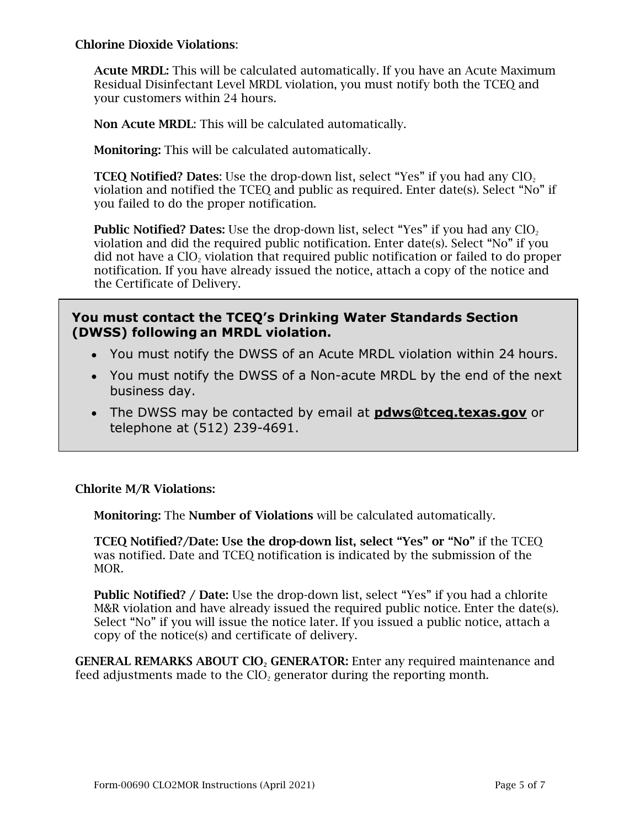### Chlorine Dioxide Violations:

Acute MRDL: This will be calculated automatically. If you have an Acute Maximum Residual Disinfectant Level MRDL violation, you must notify both the TCEQ and your customers within 24 hours.

Non Acute MRDL: This will be calculated automatically.

Monitoring: This will be calculated automatically.

**TCEQ Notified? Dates:** Use the drop-down list, select "Yes" if you had any  $CIO<sub>2</sub>$ violation and notified the TCEQ and public as required. Enter date(s). Select "No" if you failed to do the proper notification.

**Public Notified? Dates:** Use the drop-down list, select "Yes" if you had any  $ClO<sub>2</sub>$ violation and did the required public notification. Enter date(s). Select "No" if you did not have a  $ClO<sub>2</sub>$  violation that required public notification or failed to do proper notification. If you have already issued the notice, attach a copy of the notice and the Certificate of Delivery.

### **You must contact the TCEQ's Drinking Water Standards Section (DWSS) following an MRDL violation.**

- You must notify the DWSS of an Acute MRDL violation within 24 hours.
- You must notify the DWSS of a Non-acute MRDL by the end of the next business day.
- The DWSS may be contacted by email at **[pdws@tceq.texas.gov](mailto:pdws@tceq.texas.gov)** or telephone at (512) 239-4691.

### Chlorite M/R Violations:

Monitoring: The Number of Violations will be calculated automatically.

TCEQ Notified?/Date: Use the drop-down list, select "Yes" or "No" if the TCEQ was notified. Date and TCEQ notification is indicated by the submission of the MOR.

Public Notified? / Date: Use the drop-down list, select "Yes" if you had a chlorite M&R violation and have already issued the required public notice. Enter the date(s). Select "No" if you will issue the notice later. If you issued a public notice, attach a copy of the notice(s) and certificate of delivery.

GENERAL REMARKS ABOUT CIO<sub>2</sub> GENERATOR: Enter any required maintenance and feed adjustments made to the  $ClO<sub>2</sub>$  generator during the reporting month.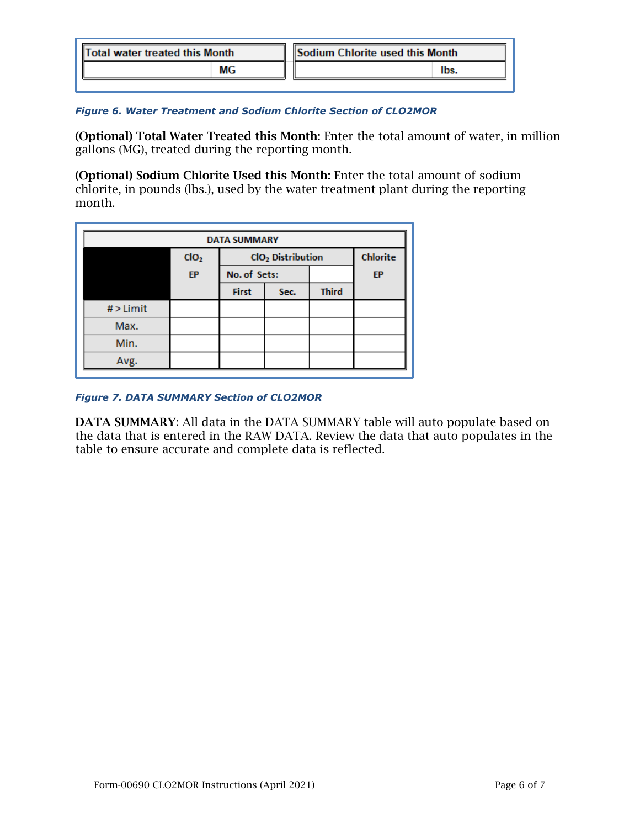| Total water treated this Month |  | Sodium Chlorite used this Month |
|--------------------------------|--|---------------------------------|
| МG                             |  | <b>lbs</b>                      |
|                                |  |                                 |

#### *Figure 6. Water Treatment and Sodium Chlorite Section of CLO2MOR*

(Optional) Total Water Treated this Month: Enter the total amount of water, in million gallons (MG), treated during the reporting month.

(Optional) Sodium Chlorite Used this Month: Enter the total amount of sodium chlorite, in pounds (lbs.), used by the water treatment plant during the reporting month.

| <b>DATA SUMMARY</b> |                  |                               |      |              |           |  |  |
|---------------------|------------------|-------------------------------|------|--------------|-----------|--|--|
|                     | ClO <sub>2</sub> | ClO <sub>2</sub> Distribution |      |              |           |  |  |
|                     | EP               | No. of Sets:                  |      |              | <b>EP</b> |  |  |
|                     |                  | <b>First</b>                  | Sec. | <b>Third</b> |           |  |  |
| $#$ > Limit         |                  |                               |      |              |           |  |  |
| Max.                |                  |                               |      |              |           |  |  |
| Min.                |                  |                               |      |              |           |  |  |
| Avg.                |                  |                               |      |              |           |  |  |

#### *Figure 7. DATA SUMMARY Section of CLO2MOR*

DATA SUMMARY: All data in the DATA SUMMARY table will auto populate based on the data that is entered in the RAW DATA. Review the data that auto populates in the table to ensure accurate and complete data is reflected.